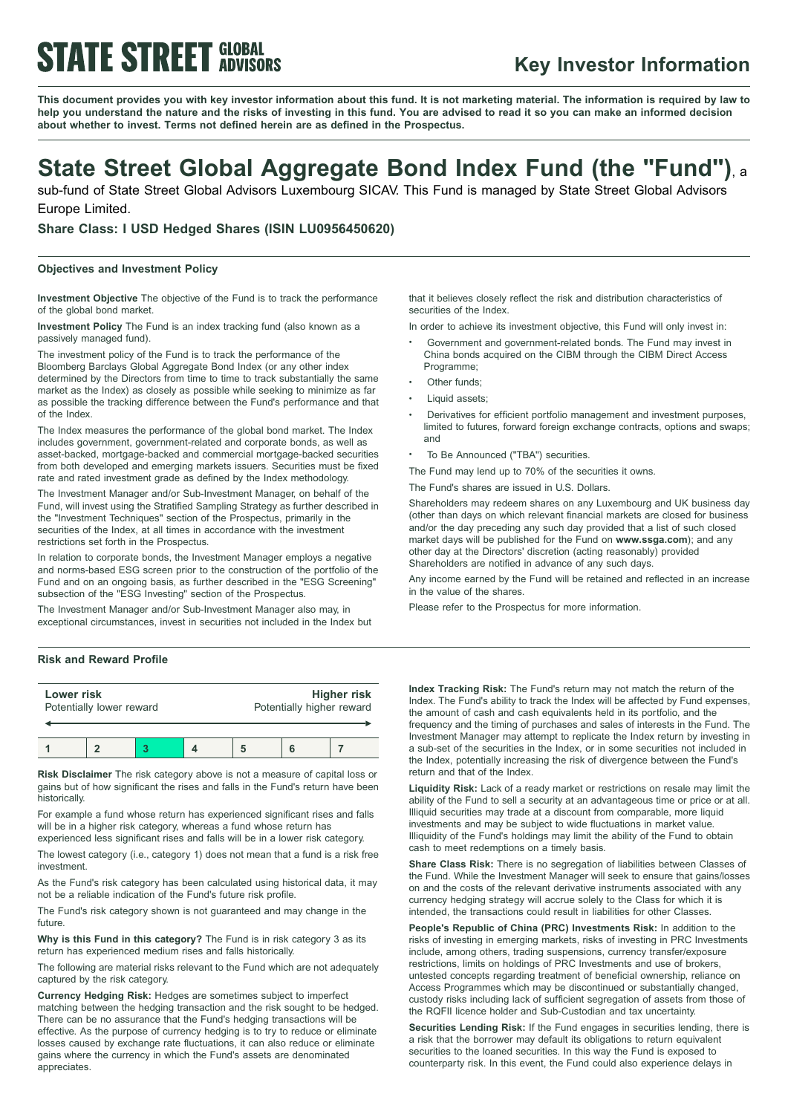# **STATE STREET GLOBAL**

### **Key Investor Information**

This document provides you with key investor information about this fund. It is not marketing material. The information is required by law to help you understand the nature and the risks of investing in this fund. You are advised to read it so you can make an informed decision **about whether to invest. Terms not defined herein are as defined in the Prospectus.**

## **State Street Global Aggregate Bond Index Fund (the "Fund")**, <sup>a</sup>

sub-fund of State Street Global Advisors Luxembourg SICAV. This Fund is managed by State Street Global Advisors Europe Limited.

**Share Class: I USD Hedged Shares (ISIN LU0956450620)**

### **Objectives and Investment Policy**

**Investment Objective** The objective of the Fund is to track the performance of the global bond market.

**Investment Policy** The Fund is an index tracking fund (also known as a passively managed fund).

The investment policy of the Fund is to track the performance of the Bloomberg Barclays Global Aggregate Bond Index (or any other index determined by the Directors from time to time to track substantially the same market as the Index) as closely as possible while seeking to minimize as far as possible the tracking difference between the Fund's performance and that of the Index.

The Index measures the performance of the global bond market. The Index includes government, government-related and corporate bonds, as well as asset-backed, mortgage-backed and commercial mortgage-backed securities from both developed and emerging markets issuers. Securities must be fixed rate and rated investment grade as defined by the Index methodology.

The Investment Manager and/or Sub-Investment Manager, on behalf of the Fund, will invest using the Stratified Sampling Strategy as further described in the "Investment Techniques" section of the Prospectus, primarily in the securities of the Index, at all times in accordance with the investment restrictions set forth in the Prospectus.

In relation to corporate bonds, the Investment Manager employs a negative and norms-based ESG screen prior to the construction of the portfolio of the Fund and on an ongoing basis, as further described in the "ESG Screening" subsection of the "ESG Investing" section of the Prospectus.

The Investment Manager and/or Sub-Investment Manager also may, in exceptional circumstances, invest in securities not included in the Index but

### **Risk and Reward Profile**

| Lower risk               |  |  |  | <b>Higher risk</b>        |  |  |
|--------------------------|--|--|--|---------------------------|--|--|
| Potentially lower reward |  |  |  | Potentially higher reward |  |  |
|                          |  |  |  |                           |  |  |

**Risk Disclaimer** The risk category above is not a measure of capital loss or gains but of how significant the rises and falls in the Fund's return have been historically.

For example a fund whose return has experienced significant rises and falls will be in a higher risk category, whereas a fund whose return has

experienced less significant rises and falls will be in a lower risk category.

The lowest category (i.e., category 1) does not mean that a fund is a risk free investment.

As the Fund's risk category has been calculated using historical data, it may not be a reliable indication of the Fund's future risk profile.

The Fund's risk category shown is not guaranteed and may change in the future.

**Why is this Fund in this category?** The Fund is in risk category 3 as its return has experienced medium rises and falls historically.

The following are material risks relevant to the Fund which are not adequately captured by the risk category.

**Currency Hedging Risk:** Hedges are sometimes subject to imperfect matching between the hedging transaction and the risk sought to be hedged. There can be no assurance that the Fund's hedging transactions will be effective. As the purpose of currency hedging is to try to reduce or eliminate losses caused by exchange rate fluctuations, it can also reduce or eliminate gains where the currency in which the Fund's assets are denominated appreciates.

that it believes closely reflect the risk and distribution characteristics of securities of the Index.

In order to achieve its investment objective, this Fund will only invest in:

- <sup>b</sup> Government and government-related bonds. The Fund may invest in China bonds acquired on the CIBM through the CIBM Direct Access Programme;
- Other funds:
- Liquid assets:
- <sup>b</sup> Derivatives for efficient portfolio management and investment purposes, limited to futures, forward foreign exchange contracts, options and swaps; and
- To Be Announced ("TBA") securities.

The Fund may lend up to 70% of the securities it owns.

The Fund's shares are issued in U.S. Dollars.

Shareholders may redeem shares on any Luxembourg and UK business day (other than days on which relevant financial markets are closed for business and/or the day preceding any such day provided that a list of such closed market days will be published for the Fund on **www.ssga.com**); and any other day at the Directors' discretion (acting reasonably) provided Shareholders are notified in advance of any such days.

Any income earned by the Fund will be retained and reflected in an increase in the value of the shares.

Please refer to the Prospectus for more information.

**Index Tracking Risk:** The Fund's return may not match the return of the Index. The Fund's ability to track the Index will be affected by Fund expenses, the amount of cash and cash equivalents held in its portfolio, and the frequency and the timing of purchases and sales of interests in the Fund. The Investment Manager may attempt to replicate the Index return by investing in a sub-set of the securities in the Index, or in some securities not included in the Index, potentially increasing the risk of divergence between the Fund's return and that of the Index.

**Liquidity Risk:** Lack of a ready market or restrictions on resale may limit the ability of the Fund to sell a security at an advantageous time or price or at all. Illiquid securities may trade at a discount from comparable, more liquid investments and may be subject to wide fluctuations in market value. Illiquidity of the Fund's holdings may limit the ability of the Fund to obtain cash to meet redemptions on a timely basis.

**Share Class Risk:** There is no segregation of liabilities between Classes of the Fund. While the Investment Manager will seek to ensure that gains/losses on and the costs of the relevant derivative instruments associated with any currency hedging strategy will accrue solely to the Class for which it is intended, the transactions could result in liabilities for other Classes.

**People's Republic of China (PRC) Investments Risk:** In addition to the risks of investing in emerging markets, risks of investing in PRC Investments include, among others, trading suspensions, currency transfer/exposure restrictions, limits on holdings of PRC Investments and use of brokers, untested concepts regarding treatment of beneficial ownership, reliance on Access Programmes which may be discontinued or substantially changed, custody risks including lack of sufficient segregation of assets from those of the RQFII licence holder and Sub-Custodian and tax uncertainty.

**Securities Lending Risk:** If the Fund engages in securities lending, there is a risk that the borrower may default its obligations to return equivalent securities to the loaned securities. In this way the Fund is exposed to counterparty risk. In this event, the Fund could also experience delays in